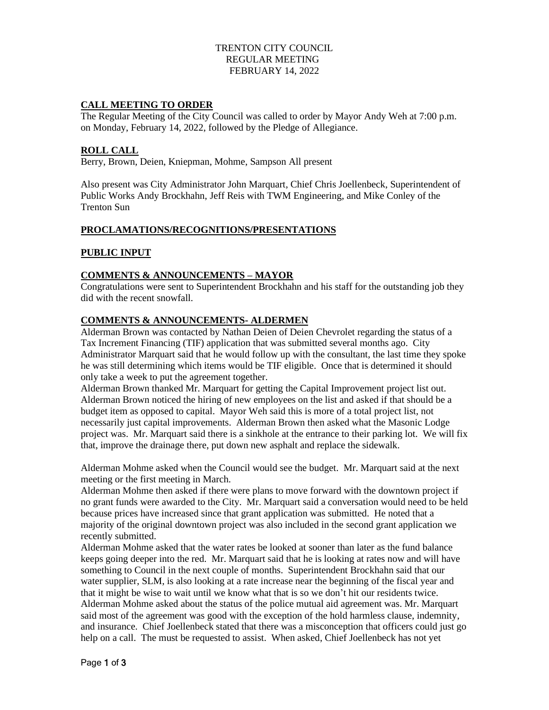### TRENTON CITY COUNCIL REGULAR MEETING FEBRUARY 14, 2022

### **CALL MEETING TO ORDER**

The Regular Meeting of the City Council was called to order by Mayor Andy Weh at 7:00 p.m. on Monday, February 14, 2022, followed by the Pledge of Allegiance.

#### **ROLL CALL**

Berry, Brown, Deien, Kniepman, Mohme, Sampson All present

Also present was City Administrator John Marquart, Chief Chris Joellenbeck, Superintendent of Public Works Andy Brockhahn, Jeff Reis with TWM Engineering, and Mike Conley of the Trenton Sun

#### **PROCLAMATIONS/RECOGNITIONS/PRESENTATIONS**

### **PUBLIC INPUT**

### **COMMENTS & ANNOUNCEMENTS – MAYOR**

Congratulations were sent to Superintendent Brockhahn and his staff for the outstanding job they did with the recent snowfall.

### **COMMENTS & ANNOUNCEMENTS- ALDERMEN**

Alderman Brown was contacted by Nathan Deien of Deien Chevrolet regarding the status of a Tax Increment Financing (TIF) application that was submitted several months ago. City Administrator Marquart said that he would follow up with the consultant, the last time they spoke he was still determining which items would be TIF eligible. Once that is determined it should only take a week to put the agreement together.

Alderman Brown thanked Mr. Marquart for getting the Capital Improvement project list out. Alderman Brown noticed the hiring of new employees on the list and asked if that should be a budget item as opposed to capital. Mayor Weh said this is more of a total project list, not necessarily just capital improvements. Alderman Brown then asked what the Masonic Lodge project was. Mr. Marquart said there is a sinkhole at the entrance to their parking lot. We will fix that, improve the drainage there, put down new asphalt and replace the sidewalk.

Alderman Mohme asked when the Council would see the budget. Mr. Marquart said at the next meeting or the first meeting in March.

Alderman Mohme then asked if there were plans to move forward with the downtown project if no grant funds were awarded to the City. Mr. Marquart said a conversation would need to be held because prices have increased since that grant application was submitted. He noted that a majority of the original downtown project was also included in the second grant application we recently submitted.

Alderman Mohme asked that the water rates be looked at sooner than later as the fund balance keeps going deeper into the red. Mr. Marquart said that he is looking at rates now and will have something to Council in the next couple of months. Superintendent Brockhahn said that our water supplier, SLM, is also looking at a rate increase near the beginning of the fiscal year and that it might be wise to wait until we know what that is so we don't hit our residents twice. Alderman Mohme asked about the status of the police mutual aid agreement was. Mr. Marquart said most of the agreement was good with the exception of the hold harmless clause, indemnity, and insurance. Chief Joellenbeck stated that there was a misconception that officers could just go help on a call. The must be requested to assist. When asked, Chief Joellenbeck has not yet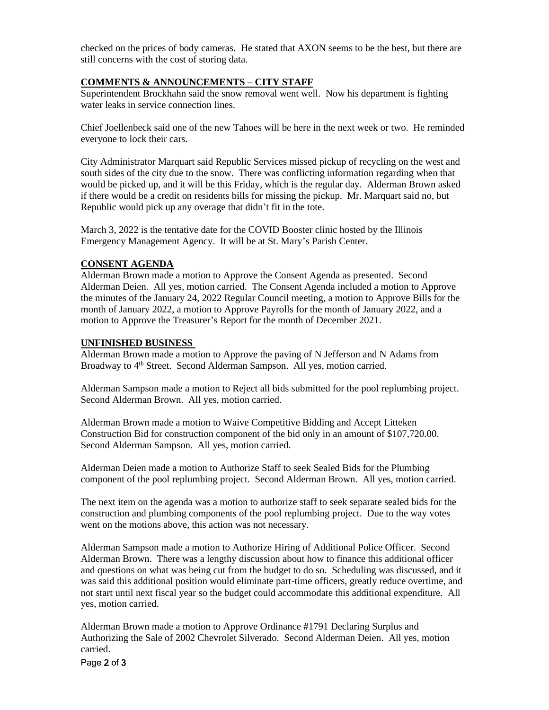checked on the prices of body cameras. He stated that AXON seems to be the best, but there are still concerns with the cost of storing data.

## **COMMENTS & ANNOUNCEMENTS – CITY STAFF**

Superintendent Brockhahn said the snow removal went well. Now his department is fighting water leaks in service connection lines.

Chief Joellenbeck said one of the new Tahoes will be here in the next week or two. He reminded everyone to lock their cars.

City Administrator Marquart said Republic Services missed pickup of recycling on the west and south sides of the city due to the snow. There was conflicting information regarding when that would be picked up, and it will be this Friday, which is the regular day. Alderman Brown asked if there would be a credit on residents bills for missing the pickup. Mr. Marquart said no, but Republic would pick up any overage that didn't fit in the tote.

March 3, 2022 is the tentative date for the COVID Booster clinic hosted by the Illinois Emergency Management Agency. It will be at St. Mary's Parish Center.

### **CONSENT AGENDA**

Alderman Brown made a motion to Approve the Consent Agenda as presented. Second Alderman Deien. All yes, motion carried. The Consent Agenda included a motion to Approve the minutes of the January 24, 2022 Regular Council meeting, a motion to Approve Bills for the month of January 2022, a motion to Approve Payrolls for the month of January 2022, and a motion to Approve the Treasurer's Report for the month of December 2021.

#### **UNFINISHED BUSINESS**

Alderman Brown made a motion to Approve the paving of N Jefferson and N Adams from Broadway to 4<sup>th</sup> Street. Second Alderman Sampson. All yes, motion carried.

Alderman Sampson made a motion to Reject all bids submitted for the pool replumbing project. Second Alderman Brown. All yes, motion carried.

Alderman Brown made a motion to Waive Competitive Bidding and Accept Litteken Construction Bid for construction component of the bid only in an amount of \$107,720.00. Second Alderman Sampson. All yes, motion carried.

Alderman Deien made a motion to Authorize Staff to seek Sealed Bids for the Plumbing component of the pool replumbing project. Second Alderman Brown. All yes, motion carried.

The next item on the agenda was a motion to authorize staff to seek separate sealed bids for the construction and plumbing components of the pool replumbing project. Due to the way votes went on the motions above, this action was not necessary.

Alderman Sampson made a motion to Authorize Hiring of Additional Police Officer. Second Alderman Brown. There was a lengthy discussion about how to finance this additional officer and questions on what was being cut from the budget to do so. Scheduling was discussed, and it was said this additional position would eliminate part-time officers, greatly reduce overtime, and not start until next fiscal year so the budget could accommodate this additional expenditure. All yes, motion carried.

Alderman Brown made a motion to Approve Ordinance #1791 Declaring Surplus and Authorizing the Sale of 2002 Chevrolet Silverado. Second Alderman Deien. All yes, motion carried.

Page 2 of 3